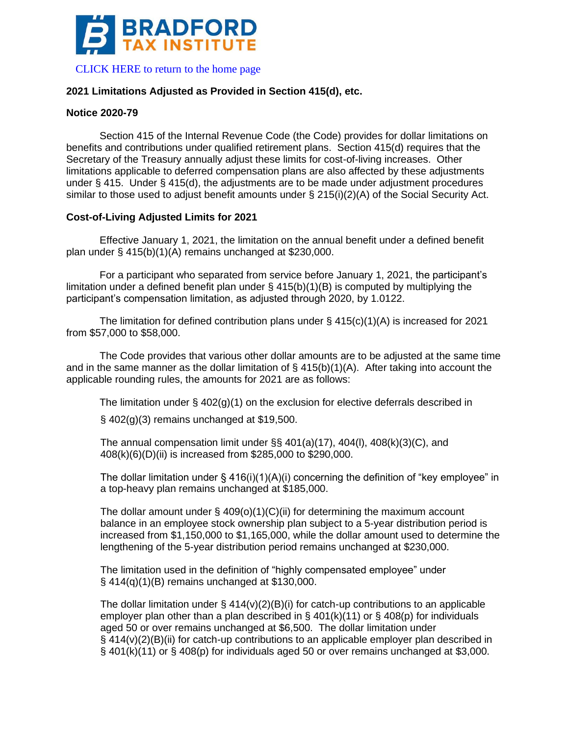

## **2021 Limitations Adjusted as Provided in Section 415(d), etc.**

## **Notice 2020-79**

Section 415 of the Internal Revenue Code (the Code) provides for dollar limitations on benefits and contributions under qualified retirement plans. Section 415(d) requires that the Secretary of the Treasury annually adjust these limits for cost-of-living increases. Other limitations applicable to deferred compensation plans are also affected by these adjustments under § 415. Under § 415(d), the adjustments are to be made under adjustment procedures similar to those used to adjust benefit amounts under § 215(i)(2)(A) of the Social Security Act.

## **Cost-of-Living Adjusted Limits for 2021**

Effective January 1, 2021, the limitation on the annual benefit under a defined benefit plan under § 415(b)(1)(A) remains unchanged at \$230,000.

For a participant who separated from service before January 1, 2021, the participant's limitation under a defined benefit plan under  $\S$  415(b)(1)(B) is computed by multiplying the participant's compensation limitation, as adjusted through 2020, by 1.0122.

The limitation for defined contribution plans under § 415(c)(1)(A) is increased for 2021 from \$57,000 to \$58,000.

The Code provides that various other dollar amounts are to be adjusted at the same time and in the same manner as the dollar limitation of  $\S$  415(b)(1)(A). After taking into account the applicable rounding rules, the amounts for 2021 are as follows:

The limitation under  $\S$  402(g)(1) on the exclusion for elective deferrals described in

§ 402(g)(3) remains unchanged at \$19,500.

The annual compensation limit under  $\S$ § 401(a)(17), 404(l), 408(k)(3)(C), and 408(k)(6)(D)(ii) is increased from \$285,000 to \$290,000.

The dollar limitation under  $\S 416(i)(1)(A)(i)$  concerning the definition of "key employee" in a top-heavy plan remains unchanged at \$185,000.

The dollar amount under  $\S$  409(o)(1)(C)(ii) for determining the maximum account balance in an employee stock ownership plan subject to a 5-year distribution period is increased from \$1,150,000 to \$1,165,000, while the dollar amount used to determine the lengthening of the 5-year distribution period remains unchanged at \$230,000.

The limitation used in the definition of "highly compensated employee" under § 414(q)(1)(B) remains unchanged at \$130,000.

The dollar limitation under  $\S 414(v)(2)(B)(i)$  for catch-up contributions to an applicable employer plan other than a plan described in  $\S$  401(k)(11) or  $\S$  408(p) for individuals aged 50 or over remains unchanged at \$6,500. The dollar limitation under § 414(v)(2)(B)(ii) for catch-up contributions to an applicable employer plan described in  $\S$  401(k)(11) or  $\S$  408(p) for individuals aged 50 or over remains unchanged at \$3,000.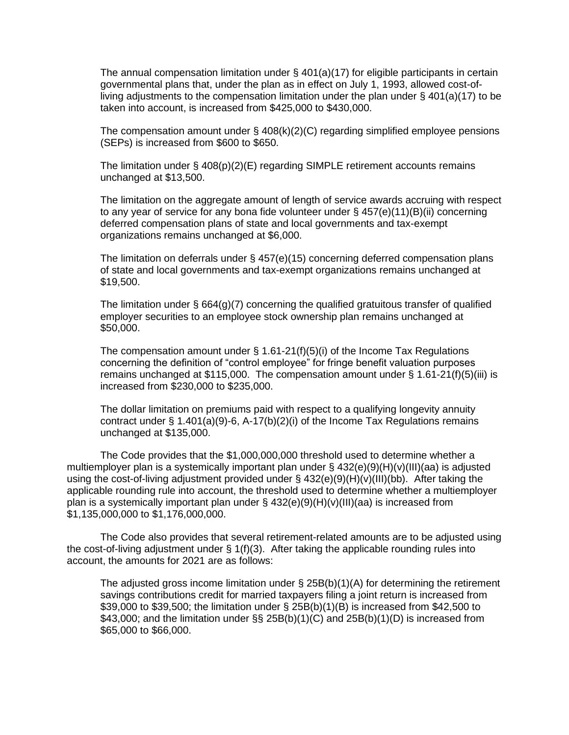The annual compensation limitation under  $\S$  401(a)(17) for eligible participants in certain governmental plans that, under the plan as in effect on July 1, 1993, allowed cost-ofliving adjustments to the compensation limitation under the plan under § 401(a)(17) to be taken into account, is increased from \$425,000 to \$430,000.

The compensation amount under § 408(k)(2)(C) regarding simplified employee pensions (SEPs) is increased from \$600 to \$650.

The limitation under § 408(p)(2)(E) regarding SIMPLE retirement accounts remains unchanged at \$13,500.

The limitation on the aggregate amount of length of service awards accruing with respect to any year of service for any bona fide volunteer under § 457(e)(11)(B)(ii) concerning deferred compensation plans of state and local governments and tax-exempt organizations remains unchanged at \$6,000.

The limitation on deferrals under  $\S$  457(e)(15) concerning deferred compensation plans of state and local governments and tax-exempt organizations remains unchanged at \$19,500.

The limitation under  $\S$  664(g)(7) concerning the qualified gratuitous transfer of qualified employer securities to an employee stock ownership plan remains unchanged at \$50,000.

The compensation amount under  $\S$  1.61-21(f)(5)(i) of the Income Tax Regulations concerning the definition of "control employee" for fringe benefit valuation purposes remains unchanged at \$115,000. The compensation amount under § 1.61-21(f)(5)(iii) is increased from \$230,000 to \$235,000.

The dollar limitation on premiums paid with respect to a qualifying longevity annuity contract under  $\S 1.401(a)(9)-6$ , A-17(b)(2)(i) of the Income Tax Regulations remains unchanged at \$135,000.

The Code provides that the \$1,000,000,000 threshold used to determine whether a multiemployer plan is a systemically important plan under  $\S$  432(e)(9)(H)(v)(III)(aa) is adjusted using the cost-of-living adjustment provided under § 432(e)(9)(H)(v)(III)(bb). After taking the applicable rounding rule into account, the threshold used to determine whether a multiemployer plan is a systemically important plan under §  $432(e)(9)(H)(v)(III)(aa)$  is increased from \$1,135,000,000 to \$1,176,000,000.

The Code also provides that several retirement-related amounts are to be adjusted using the cost-of-living adjustment under § 1(f)(3). After taking the applicable rounding rules into account, the amounts for 2021 are as follows:

The adjusted gross income limitation under  $\S$  25B(b)(1)(A) for determining the retirement savings contributions credit for married taxpayers filing a joint return is increased from \$39,000 to \$39,500; the limitation under § 25B(b)(1)(B) is increased from \$42,500 to \$43,000; and the limitation under  $\S$ ,  $25B(b)(1)(C)$  and  $25B(b)(1)(D)$  is increased from \$65,000 to \$66,000.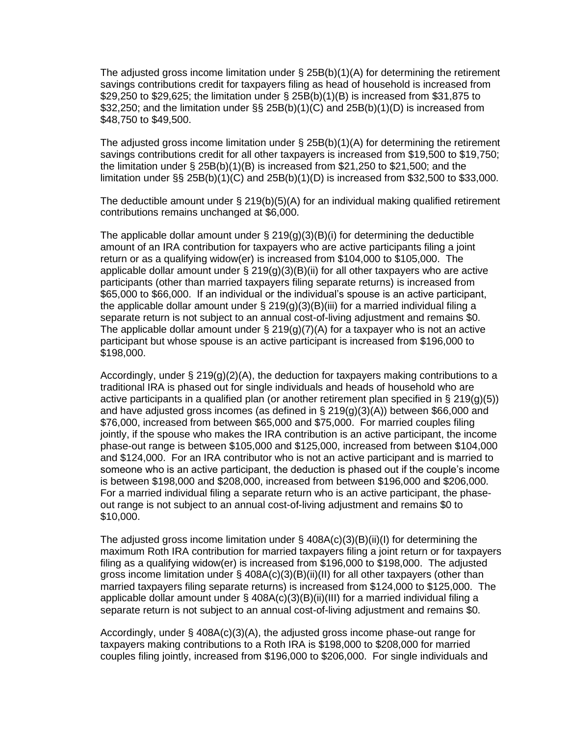The adjusted gross income limitation under  $\S$  25B(b)(1)(A) for determining the retirement savings contributions credit for taxpayers filing as head of household is increased from \$29,250 to \$29,625; the limitation under § 25B(b)(1)(B) is increased from \$31,875 to \$32,250; and the limitation under §§ 25B(b)(1)(C) and 25B(b)(1)(D) is increased from \$48,750 to \$49,500.

The adjusted gross income limitation under  $\S$  25B(b)(1)(A) for determining the retirement savings contributions credit for all other taxpayers is increased from \$19,500 to \$19,750; the limitation under § 25B(b)(1)(B) is increased from \$21,250 to \$21,500; and the limitation under  $\S$ § 25B(b)(1)(C) and 25B(b)(1)(D) is increased from \$32,500 to \$33,000.

The deductible amount under  $\S 219(b)(5)(A)$  for an individual making qualified retirement contributions remains unchanged at \$6,000.

The applicable dollar amount under  $\S 219(g)(3)(B)(i)$  for determining the deductible amount of an IRA contribution for taxpayers who are active participants filing a joint return or as a qualifying widow(er) is increased from \$104,000 to \$105,000. The applicable dollar amount under  $\S 219(g)(3)(B)(ii)$  for all other taxpayers who are active participants (other than married taxpayers filing separate returns) is increased from \$65,000 to \$66,000. If an individual or the individual's spouse is an active participant, the applicable dollar amount under  $\S 219(g)(3)(B)(iii)$  for a married individual filing a separate return is not subject to an annual cost-of-living adjustment and remains \$0. The applicable dollar amount under  $\S 219(g)(7)(A)$  for a taxpayer who is not an active participant but whose spouse is an active participant is increased from \$196,000 to \$198,000.

Accordingly, under § 219(g)(2)(A), the deduction for taxpayers making contributions to a traditional IRA is phased out for single individuals and heads of household who are active participants in a qualified plan (or another retirement plan specified in § 219(g)(5)) and have adjusted gross incomes (as defined in § 219(g)(3)(A)) between \$66,000 and \$76,000, increased from between \$65,000 and \$75,000. For married couples filing jointly, if the spouse who makes the IRA contribution is an active participant, the income phase-out range is between \$105,000 and \$125,000, increased from between \$104,000 and \$124,000. For an IRA contributor who is not an active participant and is married to someone who is an active participant, the deduction is phased out if the couple's income is between \$198,000 and \$208,000, increased from between \$196,000 and \$206,000. For a married individual filing a separate return who is an active participant, the phaseout range is not subject to an annual cost-of-living adjustment and remains \$0 to \$10,000.

The adjusted gross income limitation under  $\S$  408A(c)(3)(B)(ii)(I) for determining the maximum Roth IRA contribution for married taxpayers filing a joint return or for taxpayers filing as a qualifying widow(er) is increased from \$196,000 to \$198,000. The adjusted gross income limitation under  $\S$  408A(c)(3)(B)(ii)(II) for all other taxpayers (other than married taxpayers filing separate returns) is increased from \$124,000 to \$125,000. The applicable dollar amount under § 408A(c)(3)(B)(ii)(III) for a married individual filing a separate return is not subject to an annual cost-of-living adjustment and remains \$0.

Accordingly, under § 408A(c)(3)(A), the adjusted gross income phase-out range for taxpayers making contributions to a Roth IRA is \$198,000 to \$208,000 for married couples filing jointly, increased from \$196,000 to \$206,000. For single individuals and